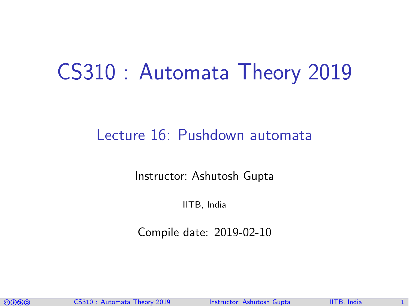# CS310 : Automata Theory 2019

## Lecture 16: Pushdown automata

Instructor: [Ashutosh Gupta](http://www.cse.iitb.ac.in/~akg/)

IITB, India

Compile date: 2019-02-10

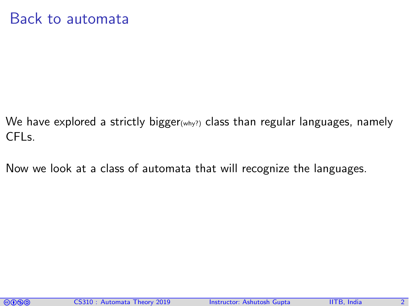- We have explored a strictly bigger<sub>(why?)</sub> class than regular languages, namely CFLs.
- Now we look at a class of automata that will recognize the languages.

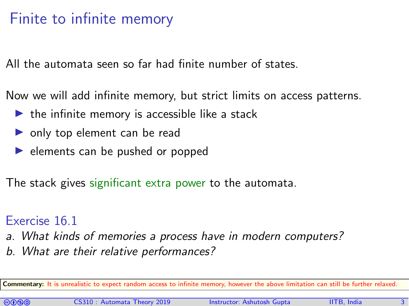## Finite to infinite memory

All the automata seen so far had finite number of states.

Now we will add infinite memory, but strict limits on access patterns.

- $\blacktriangleright$  the infinite memory is accessible like a stack
- $\triangleright$  only top element can be read
- $\blacktriangleright$  elements can be pushed or popped

The stack gives significant extra power to the automata.

#### Exercise 16.1

- a. What kinds of memories a process have in modern computers?
- b. What are their relative performances?

Commentary: It is unrealistic to expect random access to infinite memory, however the above limitation can still be further relaxed.

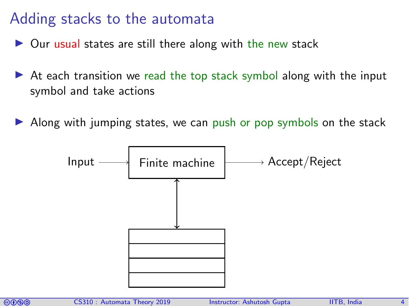## Adding stacks to the automata

- $\triangleright$  Our usual states are still there along with the new stack
- $\triangleright$  At each transition we read the top stack symbol along with the input symbol and take actions
- Along with jumping states, we can push or pop symbols on the stack



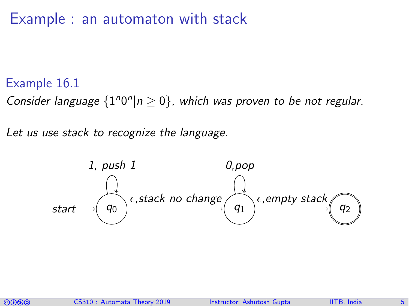## Example : an automaton with stack

#### Example 16.1

Consider language  $\{1^n0^n | n \ge 0\}$ , which was proven to be not regular.

Let us use stack to recognize the language.



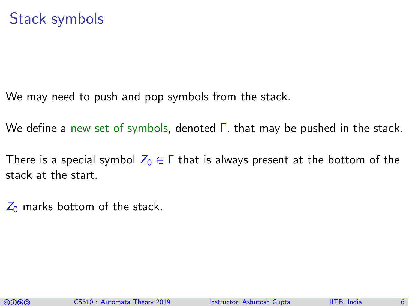We may need to push and pop symbols from the stack.

We define a new set of symbols, denoted Γ, that may be pushed in the stack.

There is a special symbol  $Z_0 \in \Gamma$  that is always present at the bottom of the stack at the start.

 $Z_0$  marks bottom of the stack.

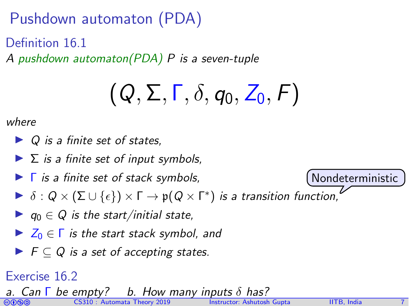Pushdown automaton (PDA)

Definition 16.1

A pushdown automaton(PDA) P is a seven-tuple

$$
\left(Q,\Sigma,\Gamma,\delta,q_0,Z_0,F\right)
$$

where

- $\triangleright$  Q is a finite set of states.
- $\blacktriangleright$   $\Sigma$  is a finite set of input symbols,
- $\blacktriangleright$   $\Gamma$  is a finite set of stack symbols,
- $\blacktriangleright$   $\delta:Q\times (\Sigma\cup\{\epsilon\})\times \Gamma\to \mathfrak{p}(Q\times \Gamma^*)$  is a transition function,
- $\blacktriangleright$   $q_0 \in Q$  is the start/initial state,
- $\blacktriangleright$   $Z_0 \in \Gamma$  is the start stack symbol, and
- $\blacktriangleright$   $\vdash$   $\vdash$   $\subset Q$  is a set of accepting states.

### Exercise 16.2

coma CS310 : Automata Theory 2019 Instructor: [Ashutosh Gupta](http://www.cse.iitb.ac.in/~akg/) IITB, India a. Can  $\Gamma$  be empty? b. How many inputs  $\delta$ 

Nondeterministic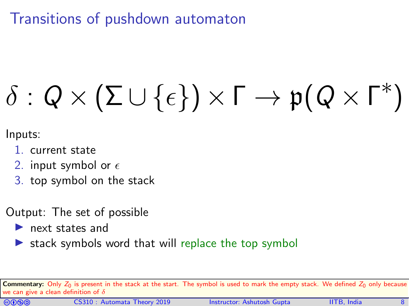Transitions of pushdown automaton

# $\delta: Q \times (\Sigma \cup \{\epsilon\}) \times \Gamma \to p(Q \times \Gamma^*)$

Inputs:

- 1. current state
- 2. input symbol or  $\epsilon$
- 3. top symbol on the stack
- Output: The set of possible
	- $\blacktriangleright$  next states and
	- stack symbols word that will replace the top symbol

Commentary: Only  $Z_0$  is present in the stack at the start. The symbol is used to mark the empty stack. We defined  $Z_0$  only because we can give a clean definition of  $\delta$ 

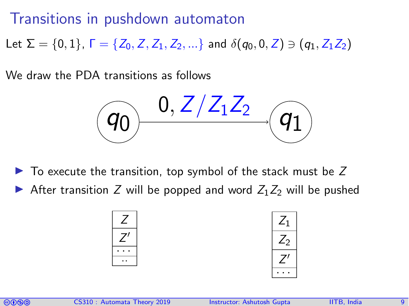## Transitions in pushdown automaton

Let  $\Sigma = \{0, 1\}$ ,  $\Gamma = \{Z_0, Z, Z_1, Z_2, ...\}$  and  $\delta(q_0, 0, Z) \ni (q_1, Z_1Z_2)$ 

We draw the PDA transitions as follows

$$
(q_0) \xrightarrow{0, Z/Z_1 Z_2} (q_1)
$$

 $\triangleright$  To execute the transition, top symbol of the stack must be Z

After transition Z will be popped and word  $Z_1Z_2$  will be pushed

$$
\begin{array}{|c|}\n\hline\nZ \\
\hline\nZ' \\
\hline\n\cdots\n\end{array}
$$

$$
\begin{array}{|c|}\n\hline\nZ_1 \\
\hline\nZ_2 \\
\hline\n\ldots\n\end{array}
$$

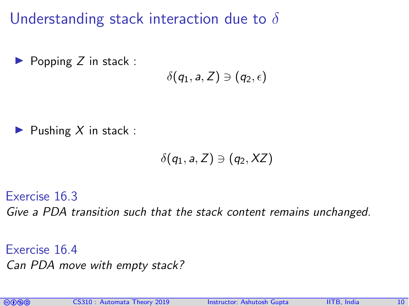Understanding stack interaction due to  $\delta$ 

 $\blacktriangleright$  Popping Z in stack :

$$
\delta(q_1,a,Z)\ni(q_2,\epsilon)
$$

Pushing  $X$  in stack :

$$
\delta(q_1,a,Z)\ni(q_2,XZ)
$$

Exercise 16.3 Give a PDA transition such that the stack content remains unchanged.

Exercise 16.4 Can PDA move with empty stack?

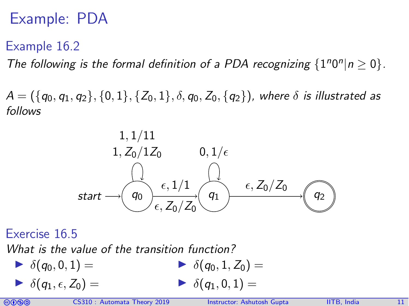## Example: PDA

## Example 16.2

The following is the formal definition of a PDA recognizing  $\{1^n0^n | n \ge 0\}$ .

 $A = (\{q_0, q_1, q_2\}, \{0, 1\}, \{Z_0, 1\}, \delta, q_0, Z_0, \{q_2\})$ , where  $\delta$  is illustrated as follows



#### Exercise 16.5

What is the value of the transition function?

 $\blacktriangleright$   $\delta(q_0, 0, 1) =$  $\blacktriangleright$   $\delta(q_1, \epsilon, Z_0) =$  $\blacktriangleright$   $\delta(q_0, 1, Z_0) =$  $\blacktriangleright$   $\delta(q_1, 0, 1) =$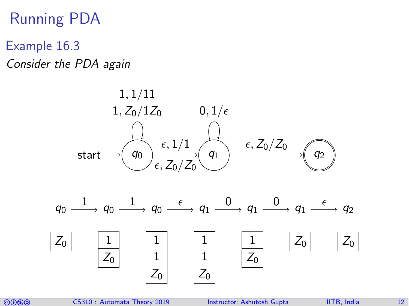## Running PDA

- Example 16.3
- Consider the PDA again



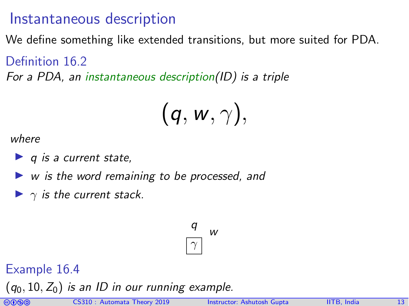## Instantaneous description

We define something like extended transitions, but more suited for PDA.

Definition 16.2

For a PDA, an instantaneous description(ID) is a triple

$$
\bigl(\textit{\textbf{q}},\textit{\textbf{w}},\gamma\bigr),
$$

where

- $\blacktriangleright$  q is a current state,
- $\triangleright$  w is the word remaining to be processed, and
- $\blacktriangleright$   $\gamma$  is the current stack.

 $\overline{\gamma}$ w q

Example 16.4

 $(q_0, 10, Z_0)$  is an ID in our running example.

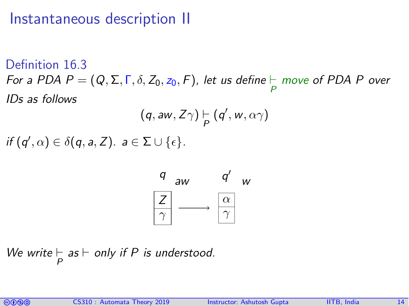## Instantaneous description II

Definition 16.3 For a PDA  $P = (Q, \Sigma, \Gamma, \delta, Z_0, z_0, F)$ , let us define  $\vdash_{P}$  move of PDA P over IDs as follows

$$
(q, aw, Z\gamma) \models_{P} (q', w, \alpha\gamma)
$$

if  $(q', \alpha) \in \delta(q, a, Z)$ .  $a \in \Sigma \cup \{\epsilon\}.$ 



We write  $\vdash_{P}$  as  $\vdash$  only if P is understood.

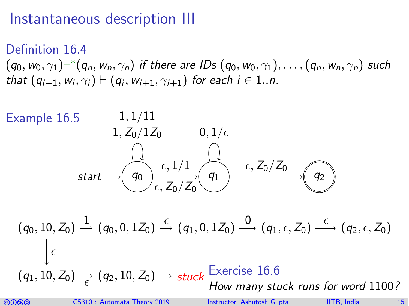## Instantaneous description III

Definition 16.4  $(q_0, w_0, \gamma_1) \vdash^* (q_n, w_n, \gamma_n)$  if there are IDs  $(q_0,w_0, \gamma_1), \dots, (q_n,w_n, \gamma_n)$  such that  $(q_{i-1}, w_i, \gamma_i) \vdash (q_i, w_{i+1}, \gamma_{i+1})$  for each  $i \in 1..n$ .



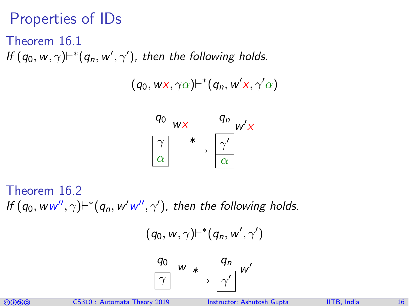## Properties of IDs

Theorem 16.1 If  $(q_0, w, \gamma)$  $\vdash^*$  $(q_n, w', \gamma')$ , then the following holds.

 $(q_0, w\text{x}, \gamma\alpha)\vdash^*(q_n, w'\text{x}, \gamma'\alpha)$ 



Theorem 16.2 If  $(q_0, ww'', \gamma)$  $\vdash^*$  $(q_n, w'w'', \gamma')$ , then the following holds.

$$
(q_0, w, \gamma) \vdash^* (q_n, w', \gamma')
$$



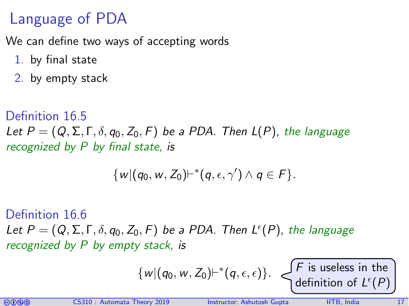## Language of PDA

We can define two ways of accepting words

- 1. by final state
- 2. by empty stack

#### Definition 16.5

Let  $P = (Q, \Sigma, \Gamma, \delta, q_0, Z_0, F)$  be a PDA. Then  $L(P)$ , the language recognized by P by final state, is

$$
\{w|(q_0,w,Z_0) \vdash^*(q,\epsilon,\gamma') \land q \in F\}.
$$

#### Definition 16.6

Let  $P = (Q, \Sigma, \Gamma, \delta, q_0, Z_0, F)$  be a PDA. Then  $L^{\epsilon}(P)$ , the language recognized by P by empty stack, is

$$
\{w | (q_0, w, Z_0) \vdash^* (q, \epsilon, \epsilon)\}.
$$
   
 
$$
\left\{\nF \text{ is useless in the} \atop \text{definition of } L^{\epsilon}(P)\right\}
$$

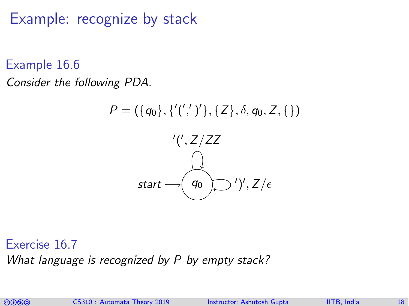Example: recognize by stack

Example 16.6

Consider the following PDA.



Exercise 16.7

What language is recognized by P by empty stack?